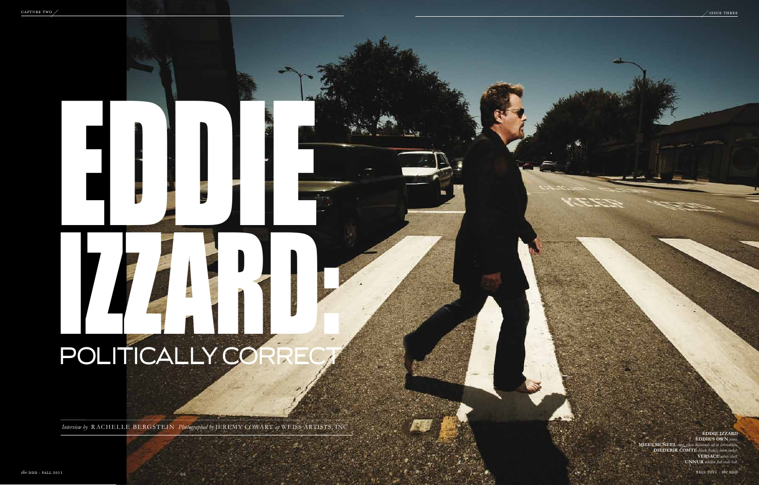### **eddie izzard Eddie ' s own** *jeans.*

**MILES MCNEEL** rin **c Neel** *ring, green diamonds set in labradorite.* **Diederik Comte** *black francis linen jacket.* **Versace** *white shirt.*  **UNNUR** *tobacco fish scale belt.*

# DOUTICALLY CONFIDENT POLITICALLY CORRECT

EDDIE

*Interview by* RACHELLE BERGSTEIN *Photographed by* JEREMY COWART at WEISS ARTISTS, IN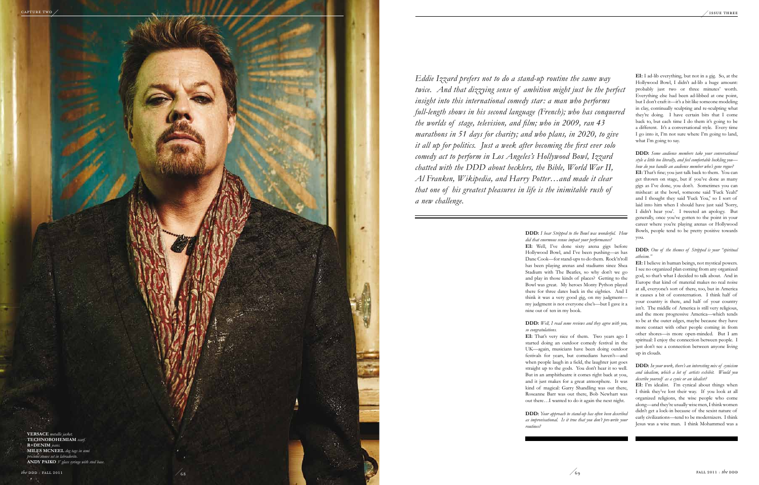**DDD:** *I hear Stripped to the Bowl was wonderful. How did that enormous venue impact your performance?* 

**EI:** Well, I've done sixty arena gigs before Hollywood Bowl, and I've been pushing—as has Dane Cook—for stand-ups to do them. Rock'n'roll has been playing arenas and stadiums since Shea Stadium with The Beatles, so why don't we go and play in those kinds of places? Getting to the Bowl was great. My heroes Monty Python played there for three dates back in the eighties. And I think it was a very good gig, on my judgment my judgment is not everyone else's—but I gave it a nine out of ten in my book.

# **DDD:** *Well, I read some reviews and they agree with you, so congratulations.*

**EI:** That's very nice of them. Two years ago I started doing an outdoor comedy festival in the UK—again, musicians have been doing outdoor festivals for years, but comedians haven't—and when people laugh in a field, the laughter just goes straight up to the gods. You don't hear it so well. But in an amphitheatre it comes right back at you, and it just makes for a great atmosphere. It was kind of magical: Garry Shandling was out there, Roseanne Barr was out there, Bob Newhart was out there…I wanted to do it again the next night.

**DDD:** *Your approach to stand-up has often been described as improvisational. Is it true that you don't pre-write your routines?*

*Eddie Izzard prefers not to do a stand-up routine the same way twice. And that dizzying sense of ambition might just be the perfect insight into this international comedy star: a man who performs full-length shows in his second language (French); who has conquered the worlds of stage, television, and film; who in 2009, ran 43 marathons in 51 days for charity; and who plans, in 2020, to give it all up for politics. Just a week after becoming the first ever solo comedy act to perform in Los Angeles's Hollywood Bowl, Izzard chatted with the DDD about hecklers, the Bible, World War II, Al Franken, Wikipedia, and Harry Potter…and made it clear that one of his greatest pleasures in life is the inimitable rush of a new challenge.*

**EI:** I ad-lib everything, but not in a gig. So, at the Hollywood Bowl, I didn't ad-lib a huge amount: probably just two or three minutes' worth. Everything else had been ad-libbed at one point, but I don't craft it—it's a bit like someone modeling in clay, continually sculpting and re-sculpting what they're doing. I have certain bits that I come back to, but each time I do them it's going to be a different. It's a conversational style. Every time I go into it, I'm not sure where I'm going to land, what I'm going to say.



## **DDD:** *Some audience members take your conversational style a little too literally, and feel comfortable heckling you how do you handle an audience member who's gone rogue?*

**EI:** That's fine; you just talk back to them. You can get thrown on stage, but if you've done as many gigs as I've done, you don't. Sometimes you can mishear: at the bowl, someone said 'Fuck Yeah!' and I thought they said 'Fuck You,' so I sort of laid into him when I should have just said 'Sorry, I didn't hear you'. I tweeted an apology. But generally, once you've gotten to the point in your career where you're playing arenas or Hollywood Bowls, people tend to be pretty positive towards you.

# **DDD:** *One of the themes of Stripped is your "spiritual atheism."*

**EI:** I believe in human beings, not mystical powers. I see no organized plan coming from any organized god, so that's what I decided to talk about. And in Europe that kind of material makes no real noise at all, everyone's sort of there, too, but in America it causes a bit of consternation. I think half of your country is there, and half of your country isn't. The middle of America is still very religious, and the more progressive America—which tends to be at the outer edges, maybe because they have more contact with other people coming in from other shores—is more open-minded. But I am spiritual: I enjoy the connection between people. I just don't see a connection between anyone living up in clouds.

# **DDD:** *In your work, there's an interesting mix of cynicism and idealism, which a lot of artists exhibit. Would you describe yourself as a cynic or an idealist?*

**EI:** I'm idealist. I'm cynical about things when I think they've lost their way. If you look at all organized religions, the wise people who come along—and they're usually wise men, I think women didn't get a lock-in because of the sexist nature of early civilizations—tend to be modernizers. I think Jesus was a wise man. I think Mohammed was a

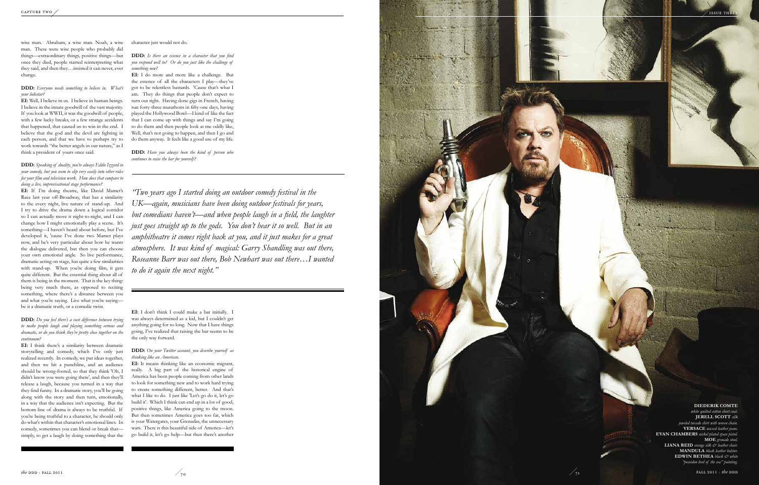



wise man. Abraham, a wise man. Noah, a wise man. These were wise people who probably did things—extraordinary things, positive things—but once they died, people started reinterpreting what they said, and then they…insisted it can never, ever change.

**DDD:** *Everyone needs something to believe in. What's your lodestar?*

**EI:** Well, I believe in us. I believe in human beings. I believe in the innate goodwill of the vast majority. If you look at WWII, it was the goodwill of people, with a few lucky breaks, or a few strange accidents that happened, that caused us to win in the end. I believe that the god and the devil are fighting in each person, and that we have to perhaps try to work towards "the better angels in our nature," as I think a president of yours once said.

**DDD:** *Speaking of duality, you're always Eddie Izzard in your comedy, but you seem to slip very easily into other roles for your film and television work. How does that compare to doing a live, improvisational stage performance?*

**EI:** If I'm doing theatre, like David Mamet's Race last year off-Broadway, that has a similarity to the every night, live nature of stand-up. And I try to drive the drama down a logical corridor so I can actually move it night-to-night, and I can change how I might emotionally play a scene. It's something—I haven't heard about before, but I've developed it, 'cause I've done two Mamet plays now, and he's very particular about how he wants the dialogue delivered, but then you can choose your own emotional angle. So live performance, dramatic acting on stage, has quite a few similarities with stand-up. When you're doing film, it gets quite different. But the essential thing about all of them is being in the moment. That is the key thing: being very much there, as opposed to reciting something, where there's a distance between you and what you're saying. Live what you're saying be it a dramatic truth, or a comedic twist.

**EI:** I don't think I could make a bar initially. was always determined as a kid, but I couldn't get anything going for so long. Now that I have things going, I've realized that raising the bar seems to be the only way forward.

**DDD:** *Do you feel there's a vast difference between trying to make people laugh and playing something serious and dramatic, or do you think they're pretty close together on the continuum?*

**EI:** I think there's a similarity between dramatic storytelling and comedy, which I've only just realized recently. In comedy, we put ideas together, and then we hit a punchline, and an audience should be wrong-footed, so that they think 'Oh, I didn't know you were going there', and then they'll release a laugh, because you turned in a way that they find funny. In a dramatic story, you'll be going along with the story and then turn, emotionally, in a way that the audience isn't expecting. But the bottom line of drama is always to be truthful. If you're being truthful to a character, he should only do what's within that character's emotional lines. In comedy, sometimes you can blend or break that simply, to get a laugh by doing something that the character just would not do.

**DDD:** *Is there an essence in a character that you find you respond well to? Or do you just like the challenge of something new?*

**EI:** I do more and more like a challenge. But the essence of all the characters I play—they've got to be relentless bastards. 'Cause that's what I am. They do things that people don't expect to turn out right. Having done gigs in French, having run forty-three marathons in fifty-one days, having played the Hollywood Bowl—I kind of like the fact that I can come up with things and say I'm going to do them and then people look at me oddly like, Well, that's not going to happen, and then I go and do them anyway. It feels like a good use of my life.

**DDD:** *Have you always been the kind of person who continues to raise the bar for yourself?*

**DDD:** *On your Twitter account, you describe yourself as thinking like an American.*

**EI:** It means thinking like an economic migrant, really. A big part of the historical engine of America has been people coming from other lands to look for something new and to work hard trying to create something different, better. And that's what I like to do. I just like 'Let's go do it, let's go build it'. Which I think can end up in a lot of good, positive things, like America going to the moon. But then sometimes America goes too far, which is your Watergates, your Grenadas, the unnecessary wars. There is this beautiful side of America—let's go build it, let's go help—but then there's another

*"Two years ago I started doing an outdoor comedy festival in the UK—again, musicians have been doing outdoor festivals for years, but comedians haven't—and when people laugh in a field, the laughter just goes straight up to the gods. You don't hear it so well. But in an amphitheatre it comes right back at you, and it just makes for a great atmosphere. It was kind of magical: Garry Shandling was out there, Roseanne Barr was out there, Bob Newhart was out there…I wanted to do it again the next night."*

**Diederik Comte** *white quilted cotton short coat.* **Jerell Scott** *silk jeweled tuxedo shirt with woven chain.* **Versace** *waxed leather jeans.* **Evan Chambers** *nickel plated space pistol.* **MOE** *grenade stool.* **Liana Reid** *orange silk & leather chair.* **MANDULA** *black leather holster*. **EDWIN BETHEA** *black*  $\&$  *white "poseidon lord of the sea" painting.*

 $\frac{1}{71}$  **FALL 2011** : *the* DDD

 $\sqrt{}$  issue thi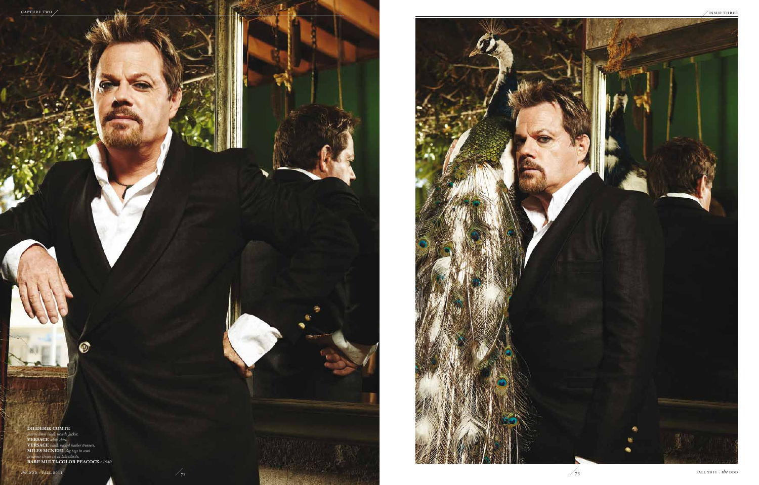

## **DIEDERIK COM**

*francis linen black tuxedo jacket.* **Versace** *white shirt.* **Versace** *black waxed leather trousers.* **Miles McNeel** *dog tags in semi preciouse stones set in labradorite.* **Rare multi-color peacock** *c.1940*

O)

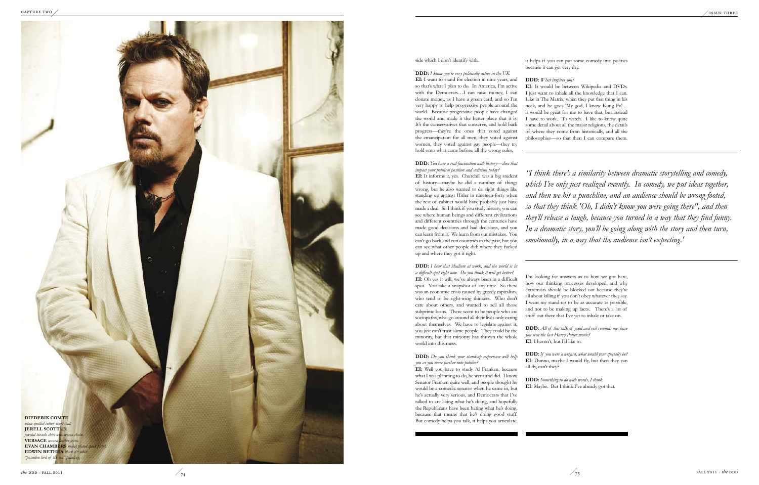### side which I don't identify with.

**DDD:** *I know you're very politically active in the UK.* **EI:** I want to stand for election in nine years, and so that's what I plan to do. In America, I'm active with the Democrats…I can raise money, I can donate money, as I have a green card, and so I'm very happy to help progressive people around the world. Because progressive people have changed the world and made it the better place that it is. It's the conservatives that conserve, and hold back progress—they're the ones that voted against the emancipation for all men, they voted against women, they voted against gay people—they try hold onto what came before, all the wrong rules.

**DDD:** *You have a real fascination with history—does that impact your political position and activism today?* **EI:** It informs it, yes. Churchill was a big student of history—maybe he did a number of things wrong, but he also wanted to do right things like standing up against Hitler in nineteen-forty when the rest of cabinet would have probably just have made a deal. So I think if you study history, you can see where human beings and different civilizations and different countries through the centuries have made good decisions and bad decisions, and you can learn from it. We learn from our mistakes. You can't go back and run countries in the past, but you can see what other people did: where they fucked up and where they got it right.

**DDD:** *I hear that idealism at work, and the world is in a difficult spot right now. Do you think it will get better?* **EI:** Oh yes it will, we've always been in a difficult spot. You take a snapshot of any time. So there was an economic crisis caused by greedy capitalists, who tend to be right-wing thinkers. Who don't care about others, and wanted to sell all those subprime loans. There seem to be people who are sociopaths, who go around all their lives only caring about themselves. We have to legislate against it; you just can't trust some people. They could be the minority, but that minority has thrown the whole world into this mess.

**DDD:** *Do you think your stand-up experience will help you as you move further into politics?*

**EI:** Well you have to study Al Franken, because what I was planning to do, he went and did. I know Senator Franken quite well, and people thought he would be a comedic senator when he came in, but he's actually very serious, and Democrats that I've talked to are liking what he's doing, and hopefully the Republicans have been hating what he's doing, because that means that he's doing good stuff. But comedy helps you talk, it helps you articulate; it helps if you can put some comedy into politics because it can get very dry.

# **DDD:** *What inspires you?*

**EI:** It would be between Wikipedia and DVDs. I just want to inhale all the knowledge that I can. Like in The Matrix, when they put that thing in his neck, and he goes 'My god, I know Kung Fu'… it would be great for me to have that, but instead I have to work. To watch. I like to know quite some detail about all the major religions, the details of where they come from historically, and all the philosophies—so that then I can compare them.

I'm looking for answers as to how we got here, how our thinking processes developed, and why extremists should be blocked out because they're all about killing if you don't obey whatever they say. I want my stand-up to be as accurate as possible, and not to be making up facts. There's a lot of stuff out there that I've yet to inhale or take on.

**DDD:** *All of this talk of good and evil reminds me: have you seen the last Harry Potter movie?* **EI:** I haven't, but I'd like to.

**DDD:** *If you were a wizard, what would your specialty be?* EI: Dunno, maybe I would fly, but then they can all fly, can't they?

**DDD:** *Something to do with words, I think.* **EI:** Maybe. But I think I've already got that.

*"I think there's a similarity between dramatic storytelling and comedy, which I've only just realized recently. In comedy, we put ideas together, and then we hit a punchline, and an audience should be wrong-footed, so that they think 'Oh, I didn't know you were going there", and then they'll release a laugh, because you turned in a way that they find funny. In a dramatic story, you'll be going along with the story and then turn, emotionally, in a way that the audience isn't expecting. '*